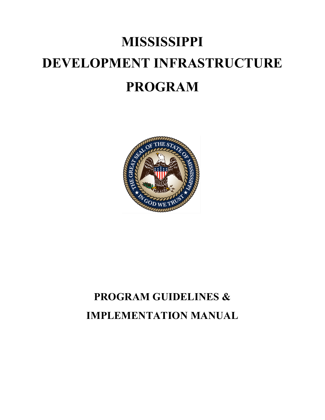# **MISSISSIPPI DEVELOPMENT INFRASTRUCTURE PROGRAM**



# **PROGRAM GUIDELINES & IMPLEMENTATION MANUAL**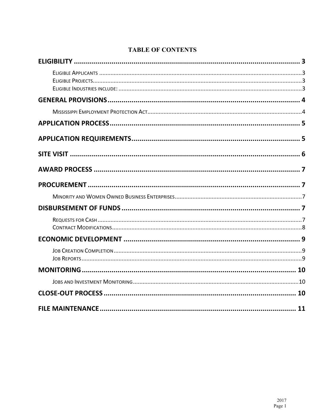# **TABLE OF CONTENTS**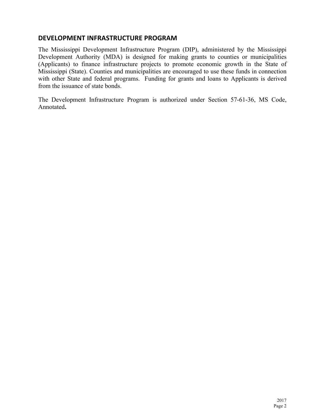## **DEVELOPMENT INFRASTRUCTURE PROGRAM**

The Mississippi Development Infrastructure Program (DIP), administered by the Mississippi Development Authority (MDA) is designed for making grants to counties or municipalities (Applicants) to finance infrastructure projects to promote economic growth in the State of Mississippi (State). Counties and municipalities are encouraged to use these funds in connection with other State and federal programs. Funding for grants and loans to Applicants is derived from the issuance of state bonds.

The Development Infrastructure Program is authorized under Section 57-61-36, MS Code, Annotated**.**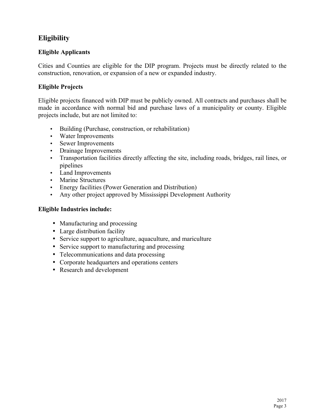# **Eligibility**

### **Eligible Applicants**

Cities and Counties are eligible for the DIP program. Projects must be directly related to the construction, renovation, or expansion of a new or expanded industry.

#### **Eligible Projects**

Eligible projects financed with DIP must be publicly owned. All contracts and purchases shall be made in accordance with normal bid and purchase laws of a municipality or county. Eligible projects include, but are not limited to:

- Building (Purchase, construction, or rehabilitation)
- Water Improvements
- Sewer Improvements
- Drainage Improvements
- Transportation facilities directly affecting the site, including roads, bridges, rail lines, or pipelines
- Land Improvements
- Marine Structures
- Energy facilities (Power Generation and Distribution)
- Any other project approved by Mississippi Development Authority

#### **Eligible Industries include:**

- Manufacturing and processing
- Large distribution facility
- Service support to agriculture, aquaculture, and mariculture
- Service support to manufacturing and processing
- Telecommunications and data processing
- Corporate headquarters and operations centers
- Research and development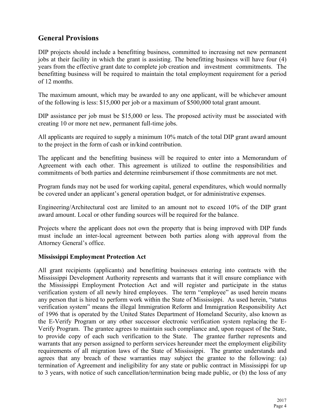# **General Provisions**

DIP projects should include a benefitting business, committed to increasing net new permanent jobs at their facility in which the grant is assisting. The benefitting business will have four (4) years from the effective grant date to complete job creation and investment commitments. The benefitting business will be required to maintain the total employment requirement for a period of 12 months.

The maximum amount, which may be awarded to any one applicant, will be whichever amount of the following is less: \$15,000 per job or a maximum of \$500,000 total grant amount.

DIP assistance per job must be \$15,000 or less. The proposed activity must be associated with creating 10 or more net new, permanent full-time jobs.

All applicants are required to supply a minimum 10% match of the total DIP grant award amount to the project in the form of cash or in/kind contribution.

The applicant and the benefitting business will be required to enter into a Memorandum of Agreement with each other. This agreement is utilized to outline the responsibilities and commitments of both parties and determine reimbursement if those commitments are not met.

Program funds may not be used for working capital, general expenditures, which would normally be covered under an applicant's general operation budget, or for administrative expenses.

Engineering/Architectural cost are limited to an amount not to exceed 10% of the DIP grant award amount. Local or other funding sources will be required for the balance.

Projects where the applicant does not own the property that is being improved with DIP funds must include an inter-local agreement between both parties along with approval from the Attorney General's office.

#### **Mississippi Employment Protection Act**

All grant recipients (applicants) and benefitting businesses entering into contracts with the Mississippi Development Authority represents and warrants that it will ensure compliance with the Mississippi Employment Protection Act and will register and participate in the status verification system of all newly hired employees. The term "employee" as used herein means any person that is hired to perform work within the State of Mississippi. As used herein, "status verification system" means the illegal Immigration Reform and Immigration Responsibility Act of 1996 that is operated by the United States Department of Homeland Security, also known as the E-Verify Program or any other successor electronic verification system replacing the E-Verify Program. The grantee agrees to maintain such compliance and, upon request of the State, to provide copy of each such verification to the State. The grantee further represents and warrants that any person assigned to perform services hereunder meet the employment eligibility requirements of all migration laws of the State of Mississippi. The grantee understands and agrees that any breach of these warranties may subject the grantee to the following: (a) termination of Agreement and ineligibility for any state or public contract in Mississippi for up to 3 years, with notice of such cancellation/termination being made public, or (b) the loss of any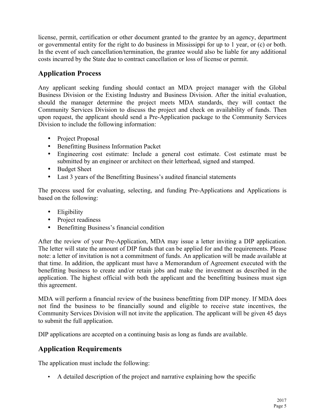license, permit, certification or other document granted to the grantee by an agency, department or governmental entity for the right to do business in Mississippi for up to 1 year, or (c) or both. In the event of such cancellation/termination, the grantee would also be liable for any additional costs incurred by the State due to contract cancellation or loss of license or permit.

# **Application Process**

Any applicant seeking funding should contact an MDA project manager with the Global Business Division or the Existing Industry and Business Division. After the initial evaluation, should the manager determine the project meets MDA standards, they will contact the Community Services Division to discuss the project and check on availability of funds. Then upon request, the applicant should send a Pre-Application package to the Community Services Division to include the following information:

- Project Proposal
- Benefitting Business Information Packet
- Engineering cost estimate: Include a general cost estimate. Cost estimate must be submitted by an engineer or architect on their letterhead, signed and stamped.
- Budget Sheet
- Last 3 years of the Benefitting Business's audited financial statements

The process used for evaluating, selecting, and funding Pre-Applications and Applications is based on the following:

- Eligibility
- Project readiness
- Benefitting Business's financial condition

After the review of your Pre-Application, MDA may issue a letter inviting a DIP application. The letter will state the amount of DIP funds that can be applied for and the requirements. Please note: a letter of invitation is not a commitment of funds. An application will be made available at that time. In addition, the applicant must have a Memorandum of Agreement executed with the benefitting business to create and/or retain jobs and make the investment as described in the application. The highest official with both the applicant and the benefitting business must sign this agreement.

MDA will perform a financial review of the business benefitting from DIP money. If MDA does not find the business to be financially sound and eligible to receive state incentives, the Community Services Division will not invite the application. The applicant will be given 45 days to submit the full application.

DIP applications are accepted on a continuing basis as long as funds are available.

# **Application Requirements**

The application must include the following:

• A detailed description of the project and narrative explaining how the specific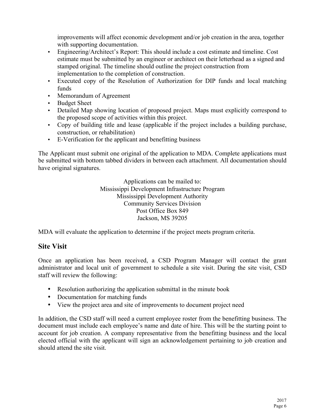improvements will affect economic development and/or job creation in the area, together with supporting documentation.

- Engineering/Architect's Report: This should include a cost estimate and timeline. Cost estimate must be submitted by an engineer or architect on their letterhead as a signed and stamped original. The timeline should outline the project construction from implementation to the completion of construction.
- Executed copy of the Resolution of Authorization for DIP funds and local matching funds
- Memorandum of Agreement
- Budget Sheet
- Detailed Map showing location of proposed project. Maps must explicitly correspond to the proposed scope of activities within this project.
- Copy of building title and lease (applicable if the project includes a building purchase, construction, or rehabilitation)
- E-Verification for the applicant and benefitting business

The Applicant must submit one original of the application to MDA. Complete applications must be submitted with bottom tabbed dividers in between each attachment. All documentation should have original signatures.

> Applications can be mailed to: Mississippi Development Infrastructure Program Mississippi Development Authority Community Services Division Post Office Box 849 Jackson, MS 39205

MDA will evaluate the application to determine if the project meets program criteria.

### **Site Visit**

Once an application has been received, a CSD Program Manager will contact the grant administrator and local unit of government to schedule a site visit. During the site visit, CSD staff will review the following:

- Resolution authorizing the application submittal in the minute book
- Documentation for matching funds
- View the project area and site of improvements to document project need

In addition, the CSD staff will need a current employee roster from the benefitting business. The document must include each employee's name and date of hire. This will be the starting point to account for job creation. A company representative from the benefitting business and the local elected official with the applicant will sign an acknowledgement pertaining to job creation and should attend the site visit.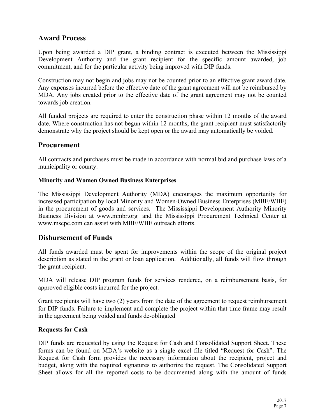# **Award Process**

Upon being awarded a DIP grant, a binding contract is executed between the Mississippi Development Authority and the grant recipient for the specific amount awarded, job commitment, and for the particular activity being improved with DIP funds.

Construction may not begin and jobs may not be counted prior to an effective grant award date. Any expenses incurred before the effective date of the grant agreement will not be reimbursed by MDA. Any jobs created prior to the effective date of the grant agreement may not be counted towards job creation.

All funded projects are required to enter the construction phase within 12 months of the award date. Where construction has not begun within 12 months, the grant recipient must satisfactorily demonstrate why the project should be kept open or the award may automatically be voided.

# **Procurement**

All contracts and purchases must be made in accordance with normal bid and purchase laws of a municipality or county.

#### **Minority and Women Owned Business Enterprises**

The Mississippi Development Authority (MDA) encourages the maximum opportunity for increased participation by local Minority and Women-Owned Business Enterprises (MBE/WBE) in the procurement of goods and services. The Mississippi Development Authority Minority Business Division at www.mmbr.org and the Mississippi Procurement Technical Center at www.mscpc.com can assist with MBE/WBE outreach efforts.

### **Disbursement of Funds**

All funds awarded must be spent for improvements within the scope of the original project description as stated in the grant or loan application. Additionally, all funds will flow through the grant recipient.

MDA will release DIP program funds for services rendered, on a reimbursement basis, for approved eligible costs incurred for the project.

Grant recipients will have two (2) years from the date of the agreement to request reimbursement for DIP funds. Failure to implement and complete the project within that time frame may result in the agreement being voided and funds de-obligated

#### **Requests for Cash**

DIP funds are requested by using the Request for Cash and Consolidated Support Sheet. These forms can be found on MDA's website as a single excel file titled "Request for Cash". The Request for Cash form provides the necessary information about the recipient, project and budget, along with the required signatures to authorize the request. The Consolidated Support Sheet allows for all the reported costs to be documented along with the amount of funds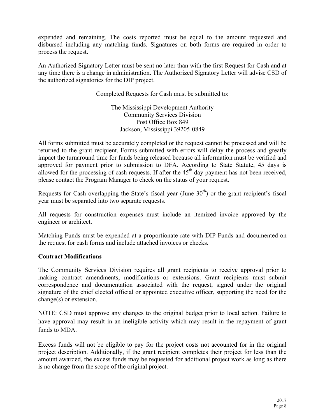expended and remaining. The costs reported must be equal to the amount requested and disbursed including any matching funds. Signatures on both forms are required in order to process the request.

An Authorized Signatory Letter must be sent no later than with the first Request for Cash and at any time there is a change in administration. The Authorized Signatory Letter will advise CSD of the authorized signatories for the DIP project.

Completed Requests for Cash must be submitted to:

The Mississippi Development Authority Community Services Division Post Office Box 849 Jackson, Mississippi 39205-0849

All forms submitted must be accurately completed or the request cannot be processed and will be returned to the grant recipient. Forms submitted with errors will delay the process and greatly impact the turnaround time for funds being released because all information must be verified and approved for payment prior to submission to DFA. According to State Statute, 45 days is allowed for the processing of cash requests. If after the  $45<sup>th</sup>$  day payment has not been received, please contact the Program Manager to check on the status of your request.

Requests for Cash overlapping the State's fiscal year (June  $30<sup>th</sup>$ ) or the grant recipient's fiscal year must be separated into two separate requests.

All requests for construction expenses must include an itemized invoice approved by the engineer or architect.

Matching Funds must be expended at a proportionate rate with DIP Funds and documented on the request for cash forms and include attached invoices or checks.

#### **Contract Modifications**

The Community Services Division requires all grant recipients to receive approval prior to making contract amendments, modifications or extensions. Grant recipients must submit correspondence and documentation associated with the request, signed under the original signature of the chief elected official or appointed executive officer, supporting the need for the change(s) or extension.

NOTE: CSD must approve any changes to the original budget prior to local action. Failure to have approval may result in an ineligible activity which may result in the repayment of grant funds to MDA.

Excess funds will not be eligible to pay for the project costs not accounted for in the original project description. Additionally, if the grant recipient completes their project for less than the amount awarded, the excess funds may be requested for additional project work as long as there is no change from the scope of the original project.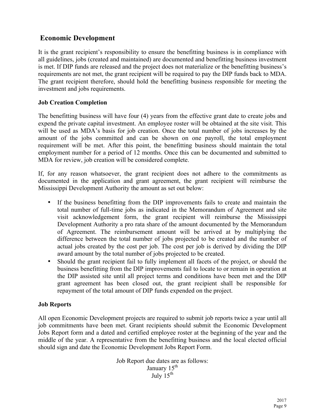# **Economic Development**

It is the grant recipient's responsibility to ensure the benefitting business is in compliance with all guidelines, jobs (created and maintained) are documented and benefitting business investment is met. If DIP funds are released and the project does not materialize or the benefitting business's requirements are not met, the grant recipient will be required to pay the DIP funds back to MDA. The grant recipient therefore, should hold the benefitting business responsible for meeting the investment and jobs requirements.

#### **Job Creation Completion**

The benefitting business will have four (4) years from the effective grant date to create jobs and expend the private capital investment. An employee roster will be obtained at the site visit. This will be used as MDA's basis for job creation. Once the total number of jobs increases by the amount of the jobs committed and can be shown on one payroll, the total employment requirement will be met. After this point, the benefitting business should maintain the total employment number for a period of 12 months. Once this can be documented and submitted to MDA for review, job creation will be considered complete.

If, for any reason whatsoever, the grant recipient does not adhere to the commitments as documented in the application and grant agreement, the grant recipient will reimburse the Mississippi Development Authority the amount as set out below:

- If the business benefitting from the DIP improvements fails to create and maintain the total number of full-time jobs as indicated in the Memorandum of Agreement and site visit acknowledgement form, the grant recipient will reimburse the Mississippi Development Authority a pro rata share of the amount documented by the Memorandum of Agreement. The reimbursement amount will be arrived at by multiplying the difference between the total number of jobs projected to be created and the number of actual jobs created by the cost per job. The cost per job is derived by dividing the DIP award amount by the total number of jobs projected to be created.
- Should the grant recipient fail to fully implement all facets of the project, or should the business benefitting from the DIP improvements fail to locate to or remain in operation at the DIP assisted site until all project terms and conditions have been met and the DIP grant agreement has been closed out, the grant recipient shall be responsible for repayment of the total amount of DIP funds expended on the project.

#### **Job Reports**

All open Economic Development projects are required to submit job reports twice a year until all job commitments have been met. Grant recipients should submit the Economic Development Jobs Report form and a dated and certified employee roster at the beginning of the year and the middle of the year. A representative from the benefitting business and the local elected official should sign and date the Economic Development Jobs Report Form.

> Job Report due dates are as follows: January 15<sup>th</sup> July  $15^{th}$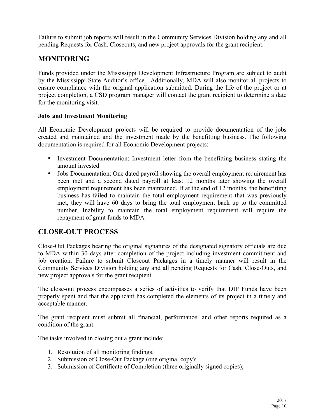Failure to submit job reports will result in the Community Services Division holding any and all pending Requests for Cash, Closeouts, and new project approvals for the grant recipient.

# **MONITORING**

Funds provided under the Mississippi Development Infrastructure Program are subject to audit by the Mississippi State Auditor's office. Additionally, MDA will also monitor all projects to ensure compliance with the original application submitted. During the life of the project or at project completion, a CSD program manager will contact the grant recipient to determine a date for the monitoring visit.

#### **Jobs and Investment Monitoring**

All Economic Development projects will be required to provide documentation of the jobs created and maintained and the investment made by the benefitting business. The following documentation is required for all Economic Development projects:

- Investment Documentation: Investment letter from the benefitting business stating the amount invested
- Jobs Documentation: One dated payroll showing the overall employment requirement has been met and a second dated payroll at least 12 months later showing the overall employment requirement has been maintained. If at the end of 12 months, the benefitting business has failed to maintain the total employment requirement that was previously met, they will have 60 days to bring the total employment back up to the committed number. Inability to maintain the total employment requirement will require the repayment of grant funds to MDA

# **CLOSE-OUT PROCESS**

Close-Out Packages bearing the original signatures of the designated signatory officials are due to MDA within 30 days after completion of the project including investment commitment and job creation. Failure to submit Closeout Packages in a timely manner will result in the Community Services Division holding any and all pending Requests for Cash, Close-Outs, and new project approvals for the grant recipient.

The close-out process encompasses a series of activities to verify that DIP Funds have been properly spent and that the applicant has completed the elements of its project in a timely and acceptable manner.

The grant recipient must submit all financial, performance, and other reports required as a condition of the grant.

The tasks involved in closing out a grant include:

- 1. Resolution of all monitoring findings;
- 2. Submission of Close-Out Package (one original copy);
- 3. Submission of Certificate of Completion (three originally signed copies);